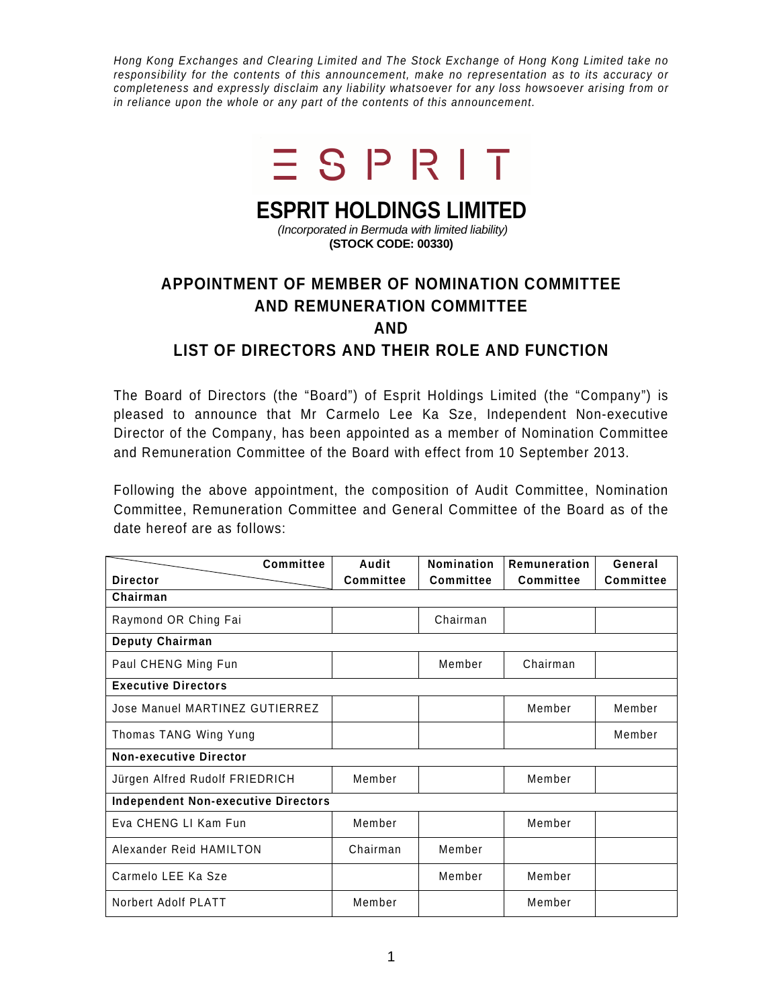Hong Kong Exchanges and Clearing Limited and The Stock Exchange of Hong Kong Limited take no responsibility for the contents of this announcement, make no representation as to its accuracy or completeness and expressly disclaim any liability whatsoever for any loss howsoever arising from or in reliance upon the whole or any part of the contents of this announcement.



## **ESPRIT HOLDINGS LIMITED**

 (Incorporated in Bermuda with limited liability) **(STOCK CODE: 00330)** 

## **APPOINTMENT OF MEMBER OF NOMINATION COMMITTEE AND REMUNERATION COMMITTEE AND LIST OF DIRECTORS AND THEIR ROLE AND FUNCTION**

The Board of Directors (the "Board") of Esprit Holdings Limited (the "Company") is pleased to announce that Mr Carmelo Lee Ka Sze, Independent Non-executive Director of the Company, has been appointed as a member of Nomination Committee and Remuneration Committee of the Board with effect from 10 September 2013.

Following the above appointment, the composition of Audit Committee, Nomination Committee, Remuneration Committee and General Committee of the Board as of the date hereof are as follows:

| <b>Committee</b>                           | Audit            | <b>Nomination</b> | Remuneration     | General          |
|--------------------------------------------|------------------|-------------------|------------------|------------------|
| <b>Director</b>                            | <b>Committee</b> | Committee         | <b>Committee</b> | <b>Committee</b> |
| Chairman                                   |                  |                   |                  |                  |
| Raymond OR Ching Fai                       |                  | Chairman          |                  |                  |
| Deputy Chairman                            |                  |                   |                  |                  |
| Paul CHENG Ming Fun                        |                  | Member            | Chairman         |                  |
| <b>Executive Directors</b>                 |                  |                   |                  |                  |
| Jose Manuel MARTINEZ GUTIERREZ             |                  |                   | Member           | Member           |
| Thomas TANG Wing Yung                      |                  |                   |                  | Member           |
| <b>Non-executive Director</b>              |                  |                   |                  |                  |
| Jürgen Alfred Rudolf FRIEDRICH             | Member           |                   | Member           |                  |
| <b>Independent Non-executive Directors</b> |                  |                   |                  |                  |
| Eva CHENG LI Kam Fun                       | Member           |                   | Member           |                  |
| Alexander Reid HAMILTON                    | Chairman         | Member            |                  |                  |
| Carmelo LEE Ka Sze                         |                  | Member            | Member           |                  |
| Norbert Adolf PLATT                        | Member           |                   | Member           |                  |